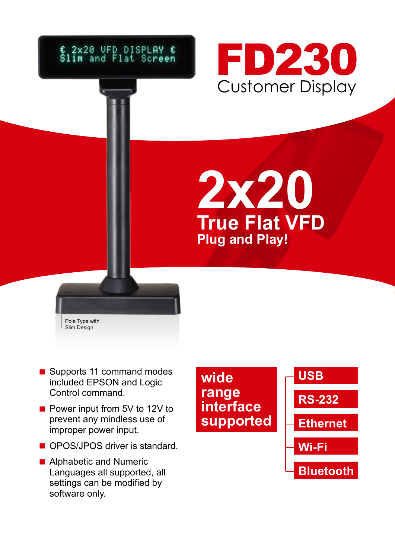## € 2x20 UFD DISPLAY €<br>Slim and Flat Screen



**2x20 True Flat VFD Plug and Play!** 



- Supports 11 command modes included EPSON and Logic Control command.
- Power input from 5V to 12V to prevent any mindless use of improper power input.
- OPOS/JPOS driver is standard.
- Alphabetic and Numeric Languages all supported, all settings can be modified by software only.